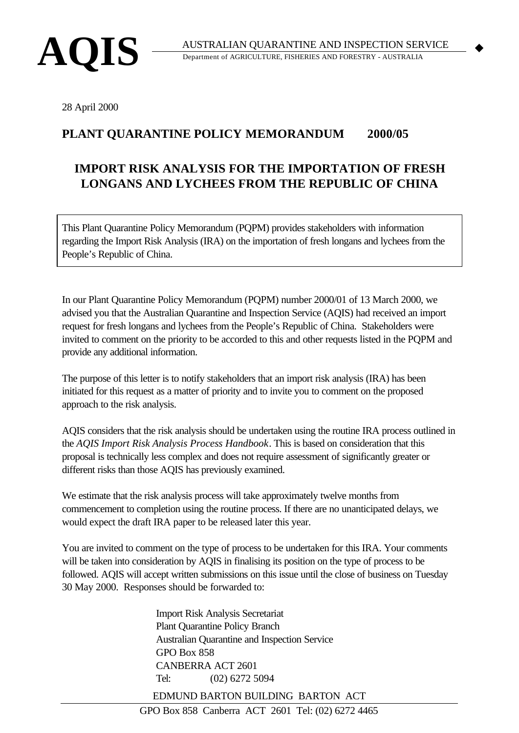

 $\blacklozenge$ 

28 April 2000

## **PLANT QUARANTINE POLICY MEMORANDUM 2000/05**

## **IMPORT RISK ANALYSIS FOR THE IMPORTATION OF FRESH LONGANS AND LYCHEES FROM THE REPUBLIC OF CHINA**

This Plant Quarantine Policy Memorandum (PQPM) provides stakeholders with information regarding the Import Risk Analysis (IRA) on the importation of fresh longans and lychees from the People's Republic of China.

In our Plant Quarantine Policy Memorandum (PQPM) number 2000/01 of 13 March 2000, we advised you that the Australian Quarantine and Inspection Service (AQIS) had received an import request for fresh longans and lychees from the People's Republic of China. Stakeholders were invited to comment on the priority to be accorded to this and other requests listed in the PQPM and provide any additional information.

The purpose of this letter is to notify stakeholders that an import risk analysis (IRA) has been initiated for this request as a matter of priority and to invite you to comment on the proposed approach to the risk analysis.

AQIS considers that the risk analysis should be undertaken using the routine IRA process outlined in the *AQIS Import Risk Analysis Process Handbook*. This is based on consideration that this proposal is technically less complex and does not require assessment of significantly greater or different risks than those AQIS has previously examined.

We estimate that the risk analysis process will take approximately twelve months from commencement to completion using the routine process. If there are no unanticipated delays, we would expect the draft IRA paper to be released later this year.

You are invited to comment on the type of process to be undertaken for this IRA. Your comments will be taken into consideration by AQIS in finalising its position on the type of process to be followed. AQIS will accept written submissions on this issue until the close of business on Tuesday 30 May 2000. Responses should be forwarded to:

> Import Risk Analysis Secretariat Plant Quarantine Policy Branch Australian Quarantine and Inspection Service GPO Box 858 CANBERRA ACT 2601 Tel: (02) 6272 5094

EDMUND BARTON BUILDING BARTON ACT